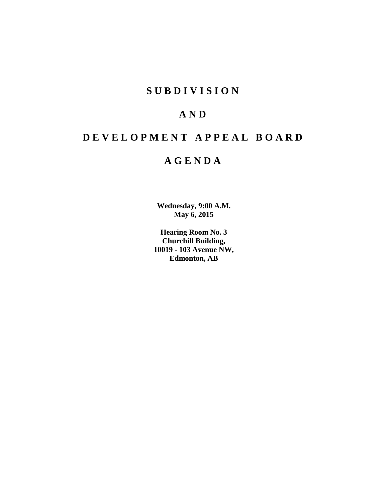# **SUBDIVISION**

# **AND**

# **DEVELOPMENT APPEAL BOARD**

# **AGENDA**

**Wednesday, 9:00 A.M. May 6, 2015**

**Hearing Room No. 3 Churchill Building, 10019 - 103 Avenue NW, Edmonton, AB**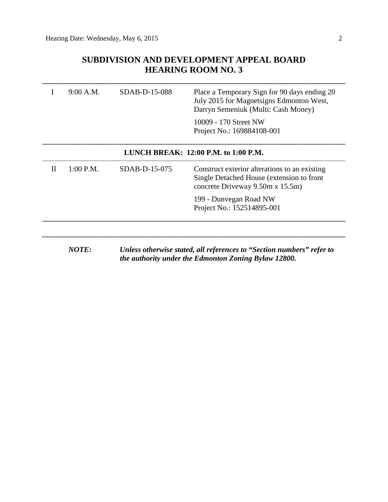## **SUBDIVISION AND DEVELOPMENT APPEAL BOARD HEARING ROOM NO. 3**

|                                          | 9:00 A.M.    | SDAB-D-15-088   | Place a Temporary Sign for 90 days ending 20<br>July 2015 for Magnetsigns Edmonton West,<br>Darryn Semeniuk (Multi: Cash Money)<br>10009 - 170 Street NW<br>Project No.: 169884108-001 |  |  |  |
|------------------------------------------|--------------|-----------------|----------------------------------------------------------------------------------------------------------------------------------------------------------------------------------------|--|--|--|
| LUNCH BREAK: $12:00$ P.M. to $1:00$ P.M. |              |                 |                                                                                                                                                                                        |  |  |  |
| $\mathbf{H}$                             | $1:00$ P.M.  | $SDAB-D-15-075$ | Construct exterior alterations to an existing<br>Single Detached House (extension to front<br>concrete Driveway 9.50m x 15.5m)                                                         |  |  |  |
|                                          |              |                 | 199 - Dunvegan Road NW<br>Project No.: 152514895-001                                                                                                                                   |  |  |  |
|                                          |              |                 |                                                                                                                                                                                        |  |  |  |
|                                          | <b>NOTE:</b> |                 | Unless otherwise stated, all references to "Section numbers" refer to<br>the authority under the Edmonton Zoning Bylaw 12800.                                                          |  |  |  |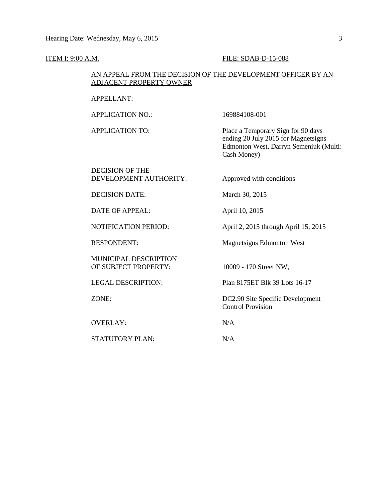#### **ITEM I: 9:00 A.M. FILE: SDAB-D-15-088**

#### AN APPEAL FROM THE DECISION OF THE DEVELOPMENT OFFICER BY AN ADJACENT PROPERTY OWNER

#### APPELLANT:

APPLICATION NO.: 169884108-001

APPLICATION TO: Place a Temporary Sign for 90 days ending 20 July 2015 for Magnetsigns Edmonton West, Darryn Semeniuk (Multi: Cash Money)

#### DECISION OF THE DEVELOPMENT AUTHORITY: Approved with conditions

DECISION DATE: March 30, 2015

DATE OF APPEAL: April 10, 2015

NOTIFICATION PERIOD: April 2, 2015 through April 15, 2015

RESPONDENT: Magnetsigns Edmonton West

MUNICIPAL DESCRIPTION OF SUBJECT PROPERTY: 10009 - 170 Street NW,

OVERLAY: N/A

STATUTORY PLAN: N/A

LEGAL DESCRIPTION: Plan 8175ET Blk 39 Lots 16-17

ZONE: DC2.90 Site Specific Development Control Provision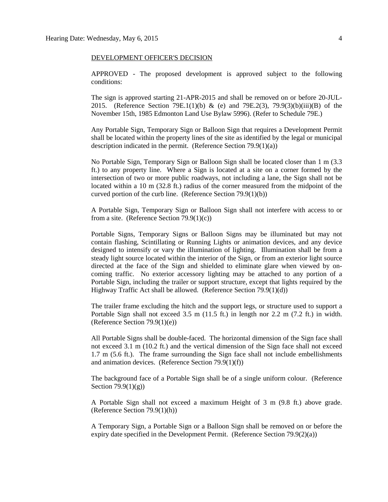#### DEVELOPMENT OFFICER'S DECISION

APPROVED - The proposed development is approved subject to the following conditions:

The sign is approved starting 21-APR-2015 and shall be removed on or before 20-JUL-2015. (Reference Section 79E.1(1)(b) & (e) and 79E.2(3), 79.9(3)(b)(iii)(B) of the November 15th, 1985 Edmonton Land Use Bylaw 5996). (Refer to Schedule 79E.)

Any Portable Sign, Temporary Sign or Balloon Sign that requires a Development Permit shall be located within the property lines of the site as identified by the legal or municipal description indicated in the permit. (Reference Section 79.9(1)(a))

No Portable Sign, Temporary Sign or Balloon Sign shall be located closer than 1 m (3.3 ft.) to any property line. Where a Sign is located at a site on a corner formed by the intersection of two or more public roadways, not including a lane, the Sign shall not be located within a 10 m (32.8 ft.) radius of the corner measured from the midpoint of the curved portion of the curb line. (Reference Section 79.9(1)(b))

A Portable Sign, Temporary Sign or Balloon Sign shall not interfere with access to or from a site. (Reference Section 79.9(1)(c))

Portable Signs, Temporary Signs or Balloon Signs may be illuminated but may not contain flashing, Scintillating or Running Lights or animation devices, and any device designed to intensify or vary the illumination of lighting. Illumination shall be from a steady light source located within the interior of the Sign, or from an exterior light source directed at the face of the Sign and shielded to eliminate glare when viewed by oncoming traffic. No exterior accessory lighting may be attached to any portion of a Portable Sign, including the trailer or support structure, except that lights required by the Highway Traffic Act shall be allowed. (Reference Section 79.9(1)(d))

The trailer frame excluding the hitch and the support legs, or structure used to support a Portable Sign shall not exceed 3.5 m (11.5 ft.) in length nor 2.2 m (7.2 ft.) in width. (Reference Section 79.9(1)(e))

All Portable Signs shall be double-faced. The horizontal dimension of the Sign face shall not exceed 3.1 m (10.2 ft.) and the vertical dimension of the Sign face shall not exceed 1.7 m (5.6 ft.). The frame surrounding the Sign face shall not include embellishments and animation devices. (Reference Section 79.9(1)(f))

The background face of a Portable Sign shall be of a single uniform colour. (Reference Section 79.9(1)(g))

A Portable Sign shall not exceed a maximum Height of 3 m (9.8 ft.) above grade. (Reference Section 79.9(1)(h))

A Temporary Sign, a Portable Sign or a Balloon Sign shall be removed on or before the expiry date specified in the Development Permit. (Reference Section  $79.9(2)(a)$ )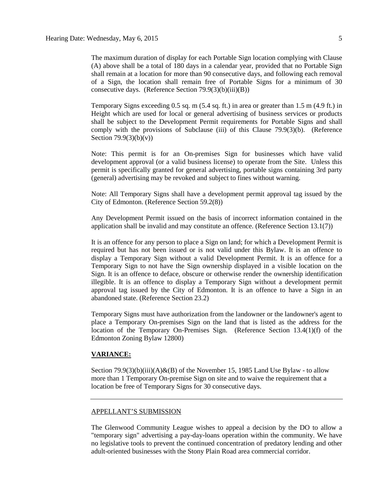The maximum duration of display for each Portable Sign location complying with Clause (A) above shall be a total of 180 days in a calendar year, provided that no Portable Sign shall remain at a location for more than 90 consecutive days, and following each removal of a Sign, the location shall remain free of Portable Signs for a minimum of 30 consecutive days. (Reference Section 79.9(3)(b)(iii)(B))

Temporary Signs exceeding 0.5 sq. m (5.4 sq. ft.) in area or greater than 1.5 m (4.9 ft.) in Height which are used for local or general advertising of business services or products shall be subject to the Development Permit requirements for Portable Signs and shall comply with the provisions of Subclause (iii) of this Clause 79.9(3)(b). (Reference Section  $79.9(3)(b)(v)$ )

Note: This permit is for an On-premises Sign for businesses which have valid development approval (or a valid business license) to operate from the Site. Unless this permit is specifically granted for general advertising, portable signs containing 3rd party (general) advertising may be revoked and subject to fines without warning.

Note: All Temporary Signs shall have a development permit approval tag issued by the City of Edmonton. (Reference Section 59.2(8))

Any Development Permit issued on the basis of incorrect information contained in the application shall be invalid and may constitute an offence. (Reference Section 13.1(7))

It is an offence for any person to place a Sign on land; for which a Development Permit is required but has not been issued or is not valid under this Bylaw. It is an offence to display a Temporary Sign without a valid Development Permit. It is an offence for a Temporary Sign to not have the Sign ownership displayed in a visible location on the Sign. It is an offence to deface, obscure or otherwise render the ownership identification illegible. It is an offence to display a Temporary Sign without a development permit approval tag issued by the City of Edmonton. It is an offence to have a Sign in an abandoned state. (Reference Section 23.2)

Temporary Signs must have authorization from the landowner or the landowner's agent to place a Temporary On-premises Sign on the land that is listed as the address for the location of the Temporary On-Premises Sign. (Reference Section 13.4(1)(f) of the Edmonton Zoning Bylaw 12800)

#### **VARIANCE:**

Section 79.9(3)(b)(iii)(A)&(B) of the November 15, 1985 Land Use Bylaw - to allow more than 1 Temporary On-premise Sign on site and to waive the requirement that a location be free of Temporary Signs for 30 consecutive days.

#### APPELLANT'S SUBMISSION

The Glenwood Community League wishes to appeal a decision by the DO to allow a "temporary sign" advertising a pay-day-loans operation within the community. We have no legislative tools to prevent the continued concentration of predatory lending and other adult-oriented businesses with the Stony Plain Road area commercial corridor.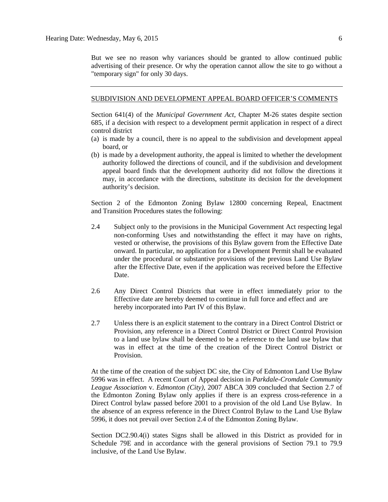But we see no reason why variances should be granted to allow continued public advertising of their presence. Or why the operation cannot allow the site to go without a "temporary sign" for only 30 days.

#### SUBDIVISION AND DEVELOPMENT APPEAL BOARD OFFICER'S COMMENTS

Section 641(4) of the *Municipal Government Act*, Chapter M-26 states despite section 685, if a decision with respect to a development permit application in respect of a direct control district

- (a) is made by a council, there is no appeal to the subdivision and development appeal board, or
- (b) is made by a development authority, the appeal is limited to whether the development authority followed the directions of council, and if the subdivision and development appeal board finds that the development authority did not follow the directions it may, in accordance with the directions, substitute its decision for the development authority's decision.

Section 2 of the Edmonton Zoning Bylaw 12800 concerning Repeal, Enactment and Transition Procedures states the following:

- 2.4 Subject only to the provisions in the Municipal Government Act respecting legal non-conforming Uses and notwithstanding the effect it may have on rights, vested or otherwise, the provisions of this Bylaw govern from the Effective Date onward. In particular, no application for a Development Permit shall be evaluated under the procedural or substantive provisions of the previous Land Use Bylaw after the Effective Date, even if the application was received before the Effective Date.
- 2.6 Any Direct Control Districts that were in effect immediately prior to the Effective date are hereby deemed to continue in full force and effect and are hereby incorporated into Part IV of this Bylaw.
- 2.7 Unless there is an explicit statement to the contrary in a Direct Control District or Provision, any reference in a Direct Control District or Direct Control Provision to a land use bylaw shall be deemed to be a reference to the land use bylaw that was in effect at the time of the creation of the Direct Control District or Provision.

At the time of the creation of the subject DC site, the City of Edmonton Land Use Bylaw 5996 was in effect. A recent Court of Appeal decision in *Parkdale-Cromdale Community League Association* v. *Edmonton (City),* 2007 ABCA 309 concluded that Section 2.7 of the Edmonton Zoning Bylaw only applies if there is an express cross-reference in a Direct Control bylaw passed before 2001 to a provision of the old Land Use Bylaw. In the absence of an express reference in the Direct Control Bylaw to the Land Use Bylaw 5996, it does not prevail over Section 2.4 of the Edmonton Zoning Bylaw.

Section DC2.90.4(i) states Signs shall be allowed in this District as provided for in Schedule 79E and in accordance with the general provisions of Section 79.1 to 79.9 inclusive, of the Land Use Bylaw.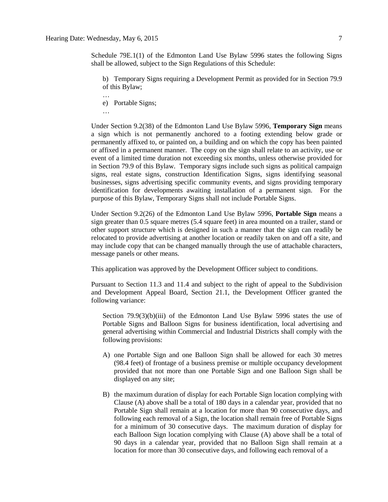Schedule 79E.1(1) of the Edmonton Land Use Bylaw 5996 states the following Signs shall be allowed, subject to the Sign Regulations of this Schedule:

b) Temporary Signs requiring a Development Permit as provided for in Section 79.9 of this Bylaw;

e) Portable Signs;

…

…

Under Section 9.2(38) of the Edmonton Land Use Bylaw 5996, **Temporary Sign** means a sign which is not permanently anchored to a footing extending below grade or permanently affixed to, or painted on, a building and on which the copy has been painted or affixed in a permanent manner. The copy on the sign shall relate to an activity, use or event of a limited time duration not exceeding six months, unless otherwise provided for in Section 79.9 of this Bylaw. Temporary signs include such signs as political campaign signs, real estate signs, construction Identification Signs, signs identifying seasonal businesses, signs advertising specific community events, and signs providing temporary identification for developments awaiting installation of a permanent sign. For the purpose of this Bylaw, Temporary Signs shall not include Portable Signs.

Under Section 9.2(26) of the Edmonton Land Use Bylaw 5996, **Portable Sign** means a sign greater than 0.5 square metres (5.4 square feet) in area mounted on a trailer, stand or other support structure which is designed in such a manner that the sign can readily be relocated to provide advertising at another location or readily taken on and off a site, and may include copy that can be changed manually through the use of attachable characters, message panels or other means.

This application was approved by the Development Officer subject to conditions.

Pursuant to Section 11.3 and 11.4 and subject to the right of appeal to the Subdivision and Development Appeal Board, Section 21.1, the Development Officer granted the following variance:

Section 79.9(3)(b)(iii) of the Edmonton Land Use Bylaw 5996 states the use of Portable Signs and Balloon Signs for business identification, local advertising and general advertising within Commercial and Industrial Districts shall comply with the following provisions:

- A) one Portable Sign and one Balloon Sign shall be allowed for each 30 metres (98.4 feet) of frontage of a business premise or multiple occupancy development provided that not more than one Portable Sign and one Balloon Sign shall be displayed on any site;
- B) the maximum duration of display for each Portable Sign location complying with Clause (A) above shall be a total of 180 days in a calendar year, provided that no Portable Sign shall remain at a location for more than 90 consecutive days, and following each removal of a Sign, the location shall remain free of Portable Signs for a minimum of 30 consecutive days. The maximum duration of display for each Balloon Sign location complying with Clause (A) above shall be a total of 90 days in a calendar year, provided that no Balloon Sign shall remain at a location for more than 30 consecutive days, and following each removal of a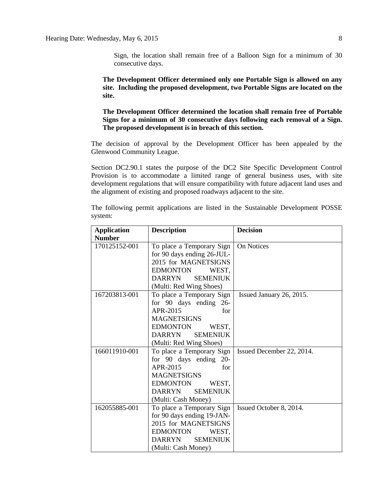Sign, the location shall remain free of a Balloon Sign for a minimum of 30 consecutive days.

**The Development Officer determined only one Portable Sign is allowed on any site. Including the proposed development, two Portable Signs are located on the site.**

**The Development Officer determined the location shall remain free of Portable Signs for a minimum of 30 consecutive days following each removal of a Sign. The proposed development is in breach of this section.**

The decision of approval by the Development Officer has been appealed by the Glenwood Community League.

Section DC2.90.1 states the purpose of the DC2 Site Specific Development Control Provision is to accommodate a limited range of general business uses, with site development regulations that will ensure compatibility with future adjacent land uses and the alignment of existing and proposed roadways adjacent to the site.

The following permit applications are listed in the Sustainable Development POSSE system:

| <b>Description</b><br><b>Application</b> |                                  | <b>Decision</b>           |
|------------------------------------------|----------------------------------|---------------------------|
| <b>Number</b>                            |                                  |                           |
| 170125152-001                            | To place a Temporary Sign        | On Notices                |
|                                          | for 90 days ending 26-JUL-       |                           |
|                                          | 2015 for MAGNETSIGNS             |                           |
|                                          | <b>EDMONTON</b><br>WEST.         |                           |
|                                          | <b>DARRYN</b><br><b>SEMENIUK</b> |                           |
|                                          | (Multi: Red Wing Shoes)          |                           |
| 167203813-001                            | To place a Temporary Sign        | Issued January 26, 2015.  |
|                                          | for 90 days ending 26-           |                           |
|                                          | APR-2015<br>for                  |                           |
|                                          | <b>MAGNETSIGNS</b>               |                           |
|                                          | <b>EDMONTON</b><br>WEST,         |                           |
|                                          | <b>DARRYN</b><br><b>SEMENIUK</b> |                           |
|                                          | (Multi: Red Wing Shoes)          |                           |
| 166011910-001                            | To place a Temporary Sign        | Issued December 22, 2014. |
|                                          | for 90 days ending 20-           |                           |
|                                          | APR-2015<br>for                  |                           |
|                                          | <b>MAGNETSIGNS</b>               |                           |
|                                          | <b>EDMONTON</b><br>WEST.         |                           |
|                                          | <b>DARRYN</b><br><b>SEMENIUK</b> |                           |
|                                          | (Multi: Cash Money)              |                           |
| 162055885-001                            | To place a Temporary Sign        | Issued October 8, 2014.   |
|                                          | for 90 days ending 19-JAN-       |                           |
|                                          | 2015 for MAGNETSIGNS             |                           |
|                                          | <b>EDMONTON</b><br>WEST,         |                           |
|                                          | <b>SEMENIUK</b><br><b>DARRYN</b> |                           |
|                                          | (Multi: Cash Money)              |                           |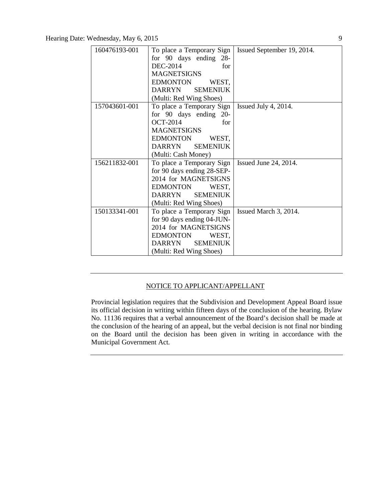| 160476193-001 | To place a Temporary Sign        | Issued September 19, 2014. |
|---------------|----------------------------------|----------------------------|
|               | for 90 days ending 28-           |                            |
|               | DEC-2014<br>for                  |                            |
|               | <b>MAGNETSIGNS</b>               |                            |
|               | <b>EDMONTON</b><br>WEST,         |                            |
|               | <b>SEMENIUK</b><br><b>DARRYN</b> |                            |
|               | (Multi: Red Wing Shoes)          |                            |
| 157043601-001 | To place a Temporary Sign        | Issued July 4, 2014.       |
|               | for 90 days ending 20-           |                            |
|               | <b>OCT-2014</b><br>for           |                            |
|               | <b>MAGNETSIGNS</b>               |                            |
|               | <b>EDMONTON</b><br>WEST,         |                            |
|               | <b>SEMENIUK</b><br><b>DARRYN</b> |                            |
|               | (Multi: Cash Money)              |                            |
| 156211832-001 | To place a Temporary Sign        | Issued June 24, 2014.      |
|               | for 90 days ending 28-SEP-       |                            |
|               | 2014 for MAGNETSIGNS             |                            |
|               | <b>EDMONTON</b><br>WEST,         |                            |
|               | <b>SEMENIUK</b><br><b>DARRYN</b> |                            |
|               | (Multi: Red Wing Shoes)          |                            |
| 150133341-001 | To place a Temporary Sign        | Issued March 3, 2014.      |
|               | for 90 days ending 04-JUN-       |                            |
|               | 2014 for MAGNETSIGNS             |                            |
|               | <b>EDMONTON</b><br>WEST,         |                            |
|               | <b>DARRYN</b><br><b>SEMENIUK</b> |                            |
|               | (Multi: Red Wing Shoes)          |                            |

### NOTICE TO APPLICANT/APPELLANT

Provincial legislation requires that the Subdivision and Development Appeal Board issue its official decision in writing within fifteen days of the conclusion of the hearing. Bylaw No. 11136 requires that a verbal announcement of the Board's decision shall be made at the conclusion of the hearing of an appeal, but the verbal decision is not final nor binding on the Board until the decision has been given in writing in accordance with the Municipal Government Act.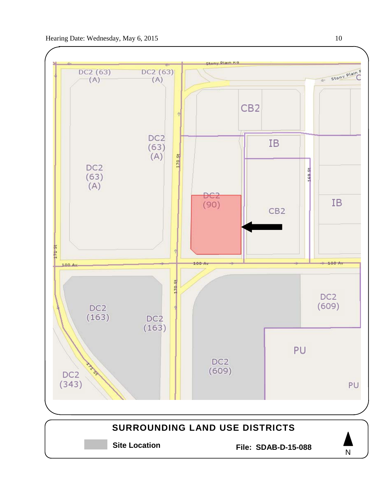

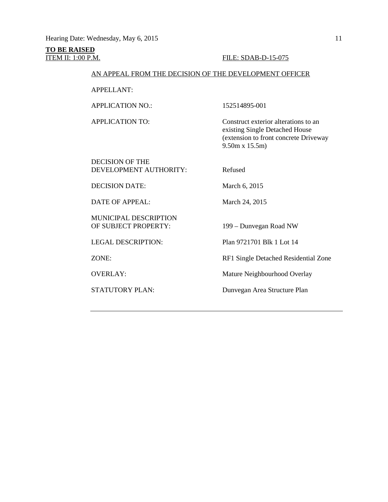# **TO BE RAISED**

#### **ITEM II: 1:00 P.M. FILE: SDAB-D-15-075**

#### AN APPEAL FROM THE DECISION OF THE DEVELOPMENT OFFICER

APPELLANT:

APPLICATION NO.: 152514895-001

APPLICATION TO: Construct exterior alterations to an existing Single Detached House (extension to front concrete Driveway 9.50m x 15.5m)

DECISION OF THE DEVELOPMENT AUTHORITY: Refused

DECISION DATE: March 6, 2015

DATE OF APPEAL: March 24, 2015

MUNICIPAL DESCRIPTION OF SUBJECT PROPERTY: 199 – Dunvegan Road NW

LEGAL DESCRIPTION: Plan 9721701 Blk 1 Lot 14

ZONE: RF1 Single Detached Residential Zone

OVERLAY: Mature Neighbourhood Overlay

STATUTORY PLAN: Dunvegan Area Structure Plan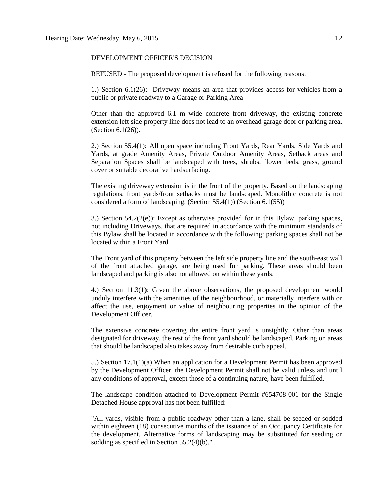#### DEVELOPMENT OFFICER'S DECISION

REFUSED - The proposed development is refused for the following reasons:

1.) Section 6.1(26): Driveway means an area that provides access for vehicles from a public or private roadway to a Garage or Parking Area

Other than the approved 6.1 m wide concrete front driveway, the existing concrete extension left side property line does not lead to an overhead garage door or parking area. (Section 6.1(26)).

2.) Section 55.4(1): All open space including Front Yards, Rear Yards, Side Yards and Yards, at grade Amenity Areas, Private Outdoor Amenity Areas, Setback areas and Separation Spaces shall be landscaped with trees, shrubs, flower beds, grass, ground cover or suitable decorative hardsurfacing.

The existing driveway extension is in the front of the property. Based on the landscaping regulations, front yards/front setbacks must be landscaped. Monolithic concrete is not considered a form of landscaping. (Section 55.4(1)) (Section 6.1(55))

3.) Section  $54.2(2(e))$ : Except as otherwise provided for in this Bylaw, parking spaces, not including Driveways, that are required in accordance with the minimum standards of this Bylaw shall be located in accordance with the following: parking spaces shall not be located within a Front Yard.

The Front yard of this property between the left side property line and the south-east wall of the front attached garage, are being used for parking. These areas should been landscaped and parking is also not allowed on within these yards.

4.) Section 11.3(1): Given the above observations, the proposed development would unduly interfere with the amenities of the neighbourhood, or materially interfere with or affect the use, enjoyment or value of neighbouring properties in the opinion of the Development Officer.

The extensive concrete covering the entire front yard is unsightly. Other than areas designated for driveway, the rest of the front yard should be landscaped. Parking on areas that should be landscaped also takes away from desirable curb appeal.

5.) Section 17.1(1)(a) When an application for a Development Permit has been approved by the Development Officer, the Development Permit shall not be valid unless and until any conditions of approval, except those of a continuing nature, have been fulfilled.

The landscape condition attached to Development Permit #654708-001 for the Single Detached House approval has not been fulfilled:

"All yards, visible from a public roadway other than a lane, shall be seeded or sodded within eighteen (18) consecutive months of the issuance of an Occupancy Certificate for the development. Alternative forms of landscaping may be substituted for seeding or sodding as specified in Section 55.2(4)(b)."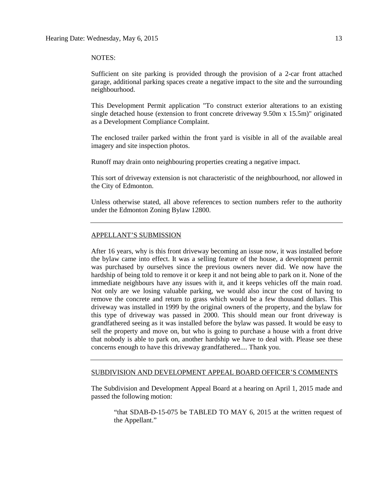#### NOTES:

Sufficient on site parking is provided through the provision of a 2-car front attached garage, additional parking spaces create a negative impact to the site and the surrounding neighbourhood.

This Development Permit application "To construct exterior alterations to an existing single detached house (extension to front concrete driveway 9.50m x 15.5m)" originated as a Development Compliance Complaint.

The enclosed trailer parked within the front yard is visible in all of the available areal imagery and site inspection photos.

Runoff may drain onto neighbouring properties creating a negative impact.

This sort of driveway extension is not characteristic of the neighbourhood, nor allowed in the City of Edmonton.

Unless otherwise stated, all above references to section numbers refer to the authority under the Edmonton Zoning Bylaw 12800.

#### APPELLANT'S SUBMISSION

After 16 years, why is this front driveway becoming an issue now, it was installed before the bylaw came into effect. It was a selling feature of the house, a development permit was purchased by ourselves since the previous owners never did. We now have the hardship of being told to remove it or keep it and not being able to park on it. None of the immediate neighbours have any issues with it, and it keeps vehicles off the main road. Not only are we losing valuable parking, we would also incur the cost of having to remove the concrete and return to grass which would be a few thousand dollars. This driveway was installed in 1999 by the original owners of the property, and the bylaw for this type of driveway was passed in 2000. This should mean our front driveway is grandfathered seeing as it was installed before the bylaw was passed. It would be easy to sell the property and move on, but who is going to purchase a house with a front drive that nobody is able to park on, another hardship we have to deal with. Please see these concerns enough to have this driveway grandfathered.... Thank you.

#### SUBDIVISION AND DEVELOPMENT APPEAL BOARD OFFICER'S COMMENTS

The Subdivision and Development Appeal Board at a hearing on April 1, 2015 made and passed the following motion:

"that SDAB-D-15-075 be TABLED TO MAY 6, 2015 at the written request of the Appellant."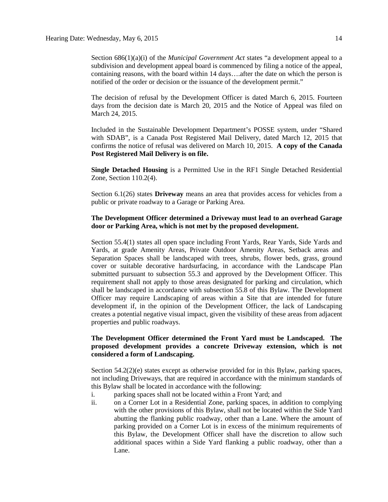Section 686(1)(a)(i) of the *Municipal Government Act* states "a development appeal to a subdivision and development appeal board is commenced by filing a notice of the appeal, containing reasons, with the board within 14 days….after the date on which the person is notified of the order or decision or the issuance of the development permit."

The decision of refusal by the Development Officer is dated March 6, 2015. Fourteen days from the decision date is March 20, 2015 and the Notice of Appeal was filed on March 24, 2015.

Included in the Sustainable Development Department's POSSE system, under "Shared with SDAB", is a Canada Post Registered Mail Delivery, dated March 12, 2015 that confirms the notice of refusal was delivered on March 10, 2015. **A copy of the Canada Post Registered Mail Delivery is on file.**

**Single Detached Housing** is a Permitted Use in the RF1 Single Detached Residential Zone, Section 110.2(4).

Section 6.1(26) states **Driveway** means an area that provides access for vehicles from a public or private roadway to a Garage or Parking Area.

#### **The Development Officer determined a Driveway must lead to an overhead Garage door or Parking Area, which is not met by the proposed development.**

Section 55.4(1) states all open space including Front Yards, Rear Yards, Side Yards and Yards, at grade Amenity Areas, Private Outdoor Amenity Areas, Setback areas and Separation Spaces shall be landscaped with trees, shrubs, flower beds, grass, ground cover or suitable decorative hardsurfacing, in accordance with the Landscape Plan submitted pursuant to subsection 55.3 and approved by the Development Officer. This requirement shall not apply to those areas designated for parking and circulation, which shall be landscaped in accordance with subsection 55.8 of this Bylaw. The Development Officer may require Landscaping of areas within a Site that are intended for future development if, in the opinion of the Development Officer, the lack of Landscaping creates a potential negative visual impact, given the visibility of these areas from adjacent properties and public roadways.

#### **The Development Officer determined the Front Yard must be Landscaped. The proposed development provides a concrete Driveway extension, which is not considered a form of Landscaping.**

Section 54.2(2)(e) states except as otherwise provided for in this Bylaw, parking spaces, not including Driveways, that are required in accordance with the minimum standards of this Bylaw shall be located in accordance with the following:

- i. parking spaces shall not be located within a Front Yard; and
- ii. on a Corner Lot in a Residential Zone, parking spaces, in addition to complying with the other provisions of this Bylaw, shall not be located within the Side Yard abutting the flanking public roadway, other than a Lane. Where the amount of parking provided on a Corner Lot is in excess of the minimum requirements of this Bylaw, the Development Officer shall have the discretion to allow such additional spaces within a Side Yard flanking a public roadway, other than a Lane.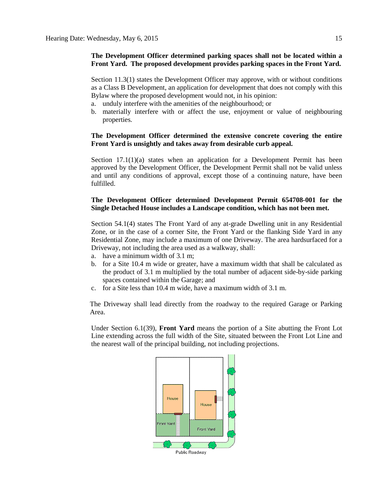#### **The Development Officer determined parking spaces shall not be located within a Front Yard. The proposed development provides parking spaces in the Front Yard.**

Section 11.3(1) states the Development Officer may approve, with or without conditions as a Class B Development, an application for development that does not comply with this Bylaw where the proposed development would not, in his opinion:

- a. unduly interfere with the amenities of the neighbourhood; or
- b. materially interfere with or affect the use, enjoyment or value of neighbouring properties.

#### **The Development Officer determined the extensive concrete covering the entire Front Yard is unsightly and takes away from desirable curb appeal.**

Section  $17.1(1)(a)$  states when an application for a Development Permit has been approved by the Development Officer, the Development Permit shall not be valid unless and until any conditions of approval, except those of a continuing nature, have been fulfilled.

#### **The Development Officer determined Development Permit 654708-001 for the Single Detached House includes a Landscape condition, which has not been met.**

Section 54.1(4) states The Front Yard of any at-grade Dwelling unit in any Residential Zone, or in the case of a corner Site, the Front Yard or the flanking Side Yard in any Residential Zone, may include a maximum of one Driveway. The area hardsurfaced for a Driveway, not including the area used as a walkway, shall:

- a. have a minimum width of 3.1 m;
- b. for a Site 10.4 m wide or greater, have a maximum width that shall be calculated as the product of 3.1 m multiplied by the total number of adjacent side-by-side parking spaces contained within the Garage; and
- c. for a Site less than 10.4 m wide, have a maximum width of 3.1 m.

The Driveway shall lead directly from the roadway to the required Garage or Parking Area.

Under Section 6.1(39), **Front Yard** means the portion of a Site abutting the Front Lot Line extending across the full width of the Site, situated between the Front Lot Line and the nearest wall of the principal building, not including projections.

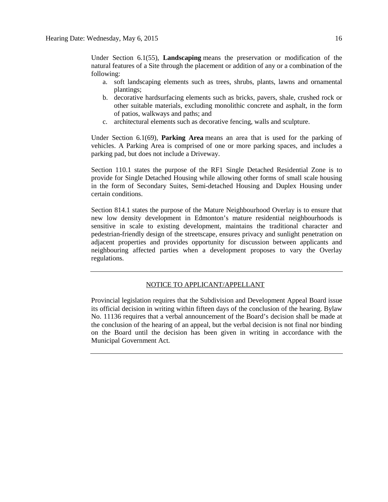Under Section 6.1(55), **Landscaping** means the preservation or modification of the natural features of a Site through the placement or addition of any or a combination of the following:

- a. soft landscaping elements such as trees, shrubs, plants, lawns and ornamental plantings;
- b. decorative hardsurfacing elements such as bricks, pavers, shale, crushed rock or other suitable materials, excluding monolithic concrete and asphalt, in the form of patios, walkways and paths; and
- c. architectural elements such as decorative fencing, walls and sculpture.

Under Section 6.1(69), **Parking Area** means an area that is used for the parking of vehicles. A Parking Area is comprised of one or more parking spaces, and includes a parking pad, but does not include a Driveway.

Section 110.1 states the purpose of the RF1 Single Detached Residential Zone is to provide for Single Detached Housing while allowing other forms of small scale housing in the form of Secondary Suites, Semi-detached Housing and Duplex Housing under certain conditions.

Section 814.1 states the purpose of the Mature Neighbourhood Overlay is to ensure that new low density development in Edmonton's mature residential neighbourhoods is sensitive in scale to existing development, maintains the traditional character and pedestrian-friendly design of the streetscape, ensures privacy and sunlight penetration on adjacent properties and provides opportunity for discussion between applicants and neighbouring affected parties when a development proposes to vary the Overlay regulations.

#### NOTICE TO APPLICANT/APPELLANT

Provincial legislation requires that the Subdivision and Development Appeal Board issue its official decision in writing within fifteen days of the conclusion of the hearing. Bylaw No. 11136 requires that a verbal announcement of the Board's decision shall be made at the conclusion of the hearing of an appeal, but the verbal decision is not final nor binding on the Board until the decision has been given in writing in accordance with the Municipal Government Act.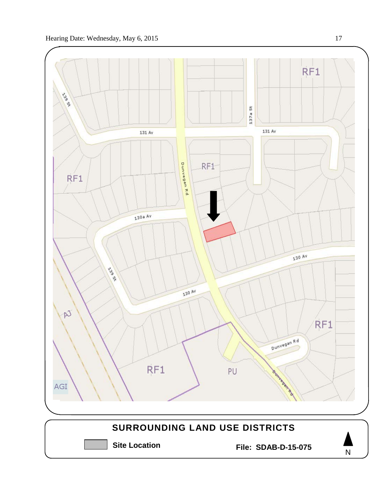